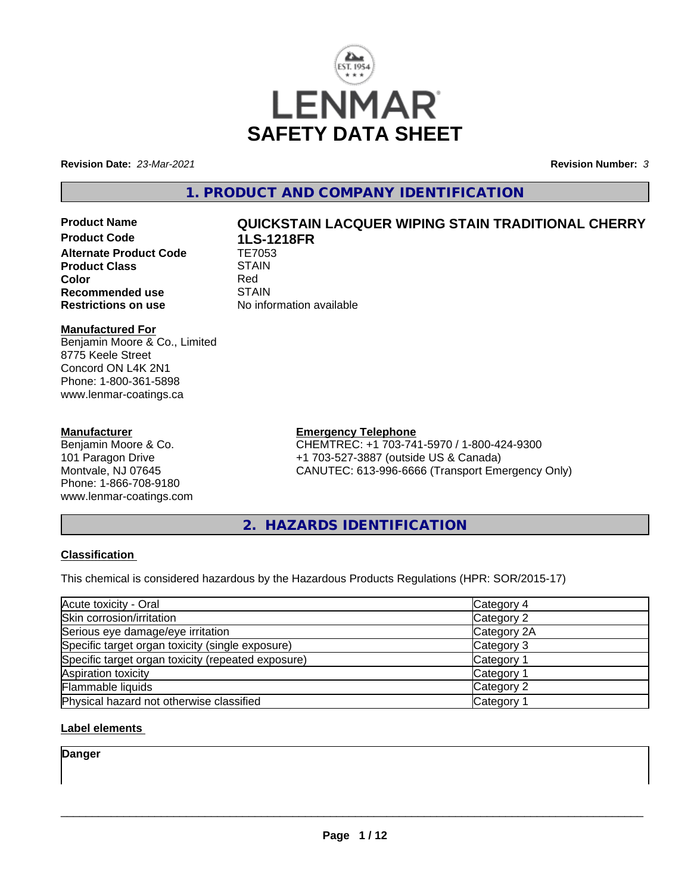

**Revision Date:** *23-Mar-2021* **Revision Number:** *3*

### **1. PRODUCT AND COMPANY IDENTIFICATION**

## **Product Code 1LS-1218FR Alternate Product Code TE7053**<br>Product Class STAIN **Product Class** STAIN STAIN STAIN STAIN Red **Recommended use** STAIN<br>**Restrictions on use** No info

# **Product Name QUICKSTAIN LACQUER WIPING STAIN TRADITIONAL CHERRY**

**Color** Red **No information available** 

#### **Manufactured For**

Benjamin Moore & Co., Limited 8775 Keele Street Concord ON L4K 2N1 Phone: 1-800-361-5898 www.lenmar-coatings.ca

#### **Manufacturer**

Benjamin Moore & Co. 101 Paragon Drive Montvale, NJ 07645 Phone: 1-866-708-9180 www.lenmar-coatings.com

### **Emergency Telephone**

CHEMTREC: +1 703-741-5970 / 1-800-424-9300 +1 703-527-3887 (outside US & Canada) CANUTEC: 613-996-6666 (Transport Emergency Only)

**2. HAZARDS IDENTIFICATION**

#### **Classification**

This chemical is considered hazardous by the Hazardous Products Regulations (HPR: SOR/2015-17)

| Acute toxicity - Oral                              | Category 4            |  |
|----------------------------------------------------|-----------------------|--|
| Skin corrosion/irritation                          | Category 2            |  |
| Serious eye damage/eye irritation                  | Category 2A           |  |
| Specific target organ toxicity (single exposure)   | Category 3            |  |
| Specific target organ toxicity (repeated exposure) | Category <sup>2</sup> |  |
| Aspiration toxicity                                | Category 1            |  |
| Flammable liquids                                  | Category 2            |  |
| Physical hazard not otherwise classified           | Category 1            |  |

#### **Label elements**

**Danger**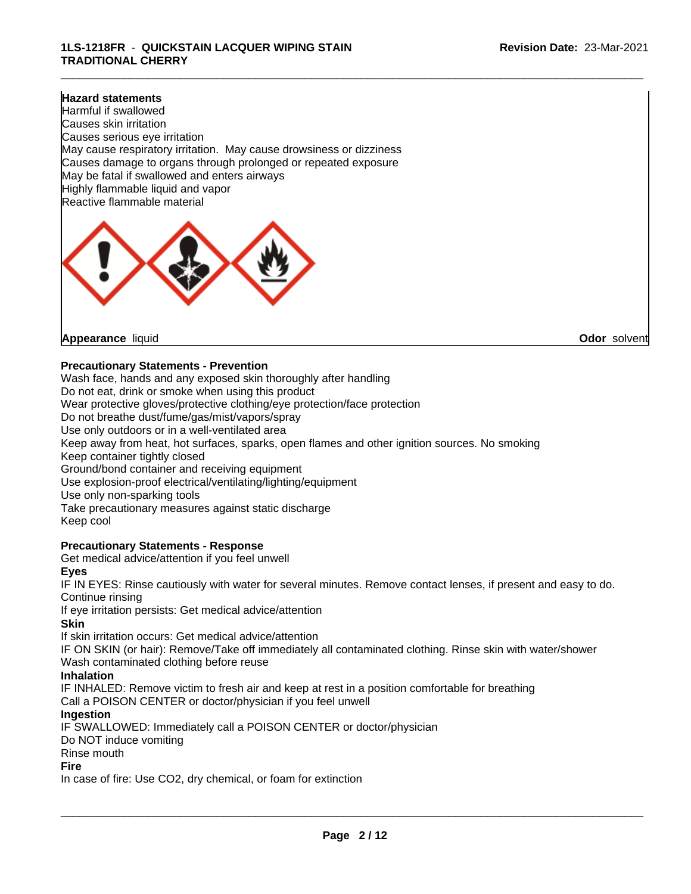\_\_\_\_\_\_\_\_\_\_\_\_\_\_\_\_\_\_\_\_\_\_\_\_\_\_\_\_\_\_\_\_\_\_\_\_\_\_\_\_\_\_\_\_\_\_\_\_\_\_\_\_\_\_\_\_\_\_\_\_\_\_\_\_\_\_\_\_\_\_\_\_\_\_\_\_\_\_\_\_\_\_\_\_\_\_\_\_\_\_\_\_\_

#### **Hazard statements**

Harmful if swallowed Causes skin irritation Causes serious eye irritation May cause respiratory irritation. May cause drowsiness or dizziness Causes damage to organs through prolonged or repeated exposure May be fatal if swallowed and enters airways Highly flammable liquid and vapor Reactive flammable material



**Appearance** liquid **Odor** solvent

#### **Precautionary Statements - Prevention**

Wash face, hands and any exposed skin thoroughly after handling Do not eat, drink or smoke when using this product Wear protective gloves/protective clothing/eye protection/face protection Do not breathe dust/fume/gas/mist/vapors/spray Use only outdoors or in a well-ventilated area Keep away from heat, hot surfaces, sparks, open flames and other ignition sources. No smoking Keep container tightly closed Ground/bond container and receiving equipment Use explosion-proof electrical/ventilating/lighting/equipment Use only non-sparking tools Take precautionary measures against static discharge Keep cool

#### **Precautionary Statements - Response**

Get medical advice/attention if you feel unwell

#### **Eyes**

IF IN EYES: Rinse cautiously with water for several minutes. Remove contact lenses, if present and easy to do. Continue rinsing

If eye irritation persists: Get medical advice/attention

#### **Skin**

If skin irritation occurs: Get medical advice/attention

IF ON SKIN (or hair): Remove/Take off immediately all contaminated clothing. Rinse skin with water/shower Wash contaminated clothing before reuse

#### **Inhalation**

IF INHALED: Remove victim to fresh air and keep at rest in a position comfortable for breathing Call a POISON CENTER or doctor/physician if you feel unwell

#### **Ingestion**

IF SWALLOWED: Immediately call a POISON CENTER or doctor/physician

Do NOT induce vomiting

Rinse mouth

#### **Fire**

In case of fire: Use CO2, dry chemical, or foam for extinction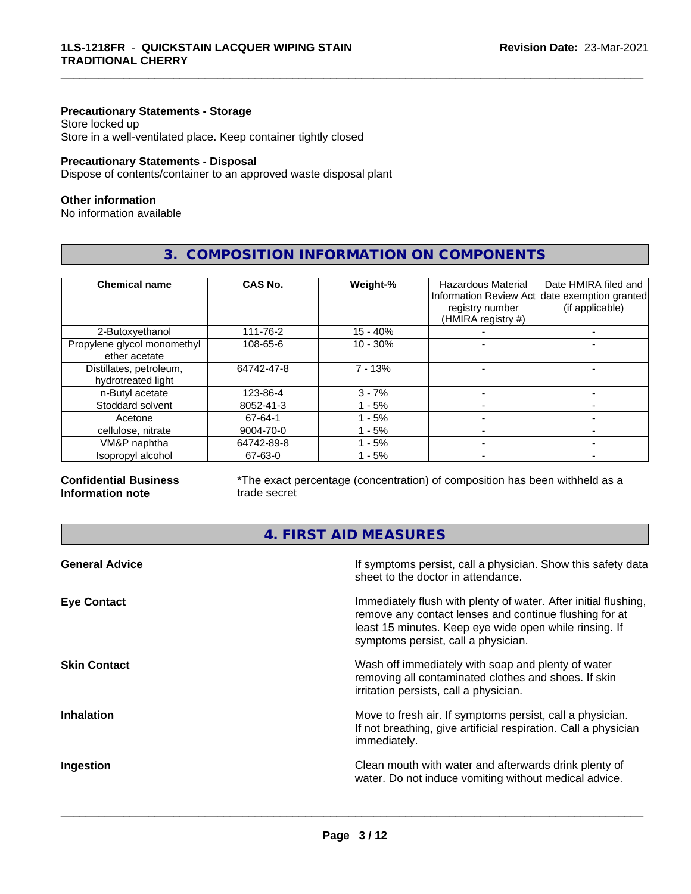#### **Precautionary Statements - Storage**

Store locked up Store in a well-ventilated place. Keep container tightly closed

#### **Precautionary Statements - Disposal**

Dispose of contents/container to an approved waste disposal plant

#### **Other information**

No information available

#### **3. COMPOSITION INFORMATION ON COMPONENTS**

\_\_\_\_\_\_\_\_\_\_\_\_\_\_\_\_\_\_\_\_\_\_\_\_\_\_\_\_\_\_\_\_\_\_\_\_\_\_\_\_\_\_\_\_\_\_\_\_\_\_\_\_\_\_\_\_\_\_\_\_\_\_\_\_\_\_\_\_\_\_\_\_\_\_\_\_\_\_\_\_\_\_\_\_\_\_\_\_\_\_\_\_\_

| <b>Chemical name</b>                          | <b>CAS No.</b> | Weight-%   | <b>Hazardous Material</b><br>registry number<br>(HMIRA registry #) | Date HMIRA filed and<br>Information Review Act date exemption granted<br>(if applicable) |
|-----------------------------------------------|----------------|------------|--------------------------------------------------------------------|------------------------------------------------------------------------------------------|
| 2-Butoxyethanol                               | 111-76-2       | $15 - 40%$ |                                                                    |                                                                                          |
| Propylene glycol monomethyl<br>ether acetate  | 108-65-6       | $10 - 30%$ |                                                                    |                                                                                          |
| Distillates, petroleum,<br>hydrotreated light | 64742-47-8     | $7 - 13%$  |                                                                    |                                                                                          |
| n-Butyl acetate                               | 123-86-4       | $3 - 7%$   |                                                                    |                                                                                          |
| Stoddard solvent                              | 8052-41-3      | $-5%$      |                                                                    |                                                                                          |
| Acetone                                       | 67-64-1        | $-5%$      |                                                                    |                                                                                          |
| cellulose, nitrate                            | 9004-70-0      | - 5%       |                                                                    |                                                                                          |
| VM&P naphtha                                  | 64742-89-8     | - 5%       |                                                                    |                                                                                          |
| Isopropyl alcohol                             | 67-63-0        | - 5%       |                                                                    |                                                                                          |

#### **Confidential Business Information note**

\*The exact percentage (concentration) of composition has been withheld as a trade secret

#### **4. FIRST AID MEASURES**

| <b>General Advice</b> | If symptoms persist, call a physician. Show this safety data<br>sheet to the doctor in attendance.                                                                                                                         |
|-----------------------|----------------------------------------------------------------------------------------------------------------------------------------------------------------------------------------------------------------------------|
| <b>Eye Contact</b>    | Immediately flush with plenty of water. After initial flushing,<br>remove any contact lenses and continue flushing for at<br>least 15 minutes. Keep eye wide open while rinsing. If<br>symptoms persist, call a physician. |
| <b>Skin Contact</b>   | Wash off immediately with soap and plenty of water<br>removing all contaminated clothes and shoes. If skin<br>irritation persists, call a physician.                                                                       |
| <b>Inhalation</b>     | Move to fresh air. If symptoms persist, call a physician.<br>If not breathing, give artificial respiration. Call a physician<br>immediately.                                                                               |
| Ingestion             | Clean mouth with water and afterwards drink plenty of<br>water. Do not induce vomiting without medical advice.                                                                                                             |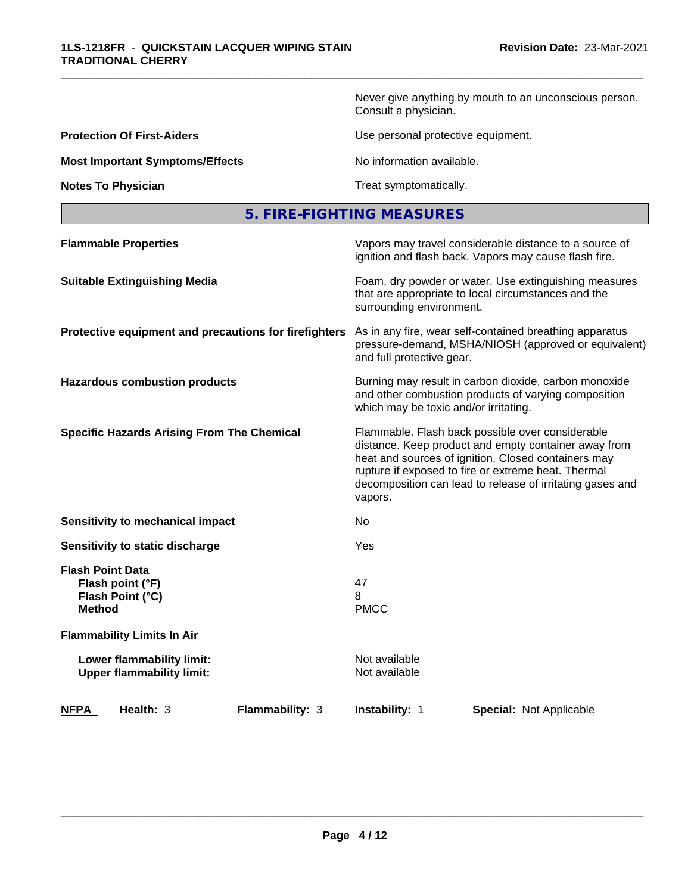Never give anything by mouth to an unconscious person. Consult a physician.

**Protection Of First-Aiders Exercise 2018** Use personal protective equipment.

**Most Important Symptoms/Effects** No information available.

\_\_\_\_\_\_\_\_\_\_\_\_\_\_\_\_\_\_\_\_\_\_\_\_\_\_\_\_\_\_\_\_\_\_\_\_\_\_\_\_\_\_\_\_\_\_\_\_\_\_\_\_\_\_\_\_\_\_\_\_\_\_\_\_\_\_\_\_\_\_\_\_\_\_\_\_\_\_\_\_\_\_\_\_\_\_\_\_\_\_\_\_\_

**Notes To Physician Treat symptomatically.** 

| 5. FIRE-FIGHTING MEASURES |  |
|---------------------------|--|
|---------------------------|--|

| <b>NFPA</b><br>Health: 3                                                         | <b>Flammability: 3</b> | Instability: 1                        | Special: Not Applicable                                                                                                                                                                                                                                                             |  |
|----------------------------------------------------------------------------------|------------------------|---------------------------------------|-------------------------------------------------------------------------------------------------------------------------------------------------------------------------------------------------------------------------------------------------------------------------------------|--|
| Lower flammability limit:<br><b>Upper flammability limit:</b>                    |                        | Not available<br>Not available        |                                                                                                                                                                                                                                                                                     |  |
| <b>Flammability Limits In Air</b>                                                |                        |                                       |                                                                                                                                                                                                                                                                                     |  |
| <b>Flash Point Data</b><br>Flash point (°F)<br>Flash Point (°C)<br><b>Method</b> |                        | 47<br>8<br><b>PMCC</b>                |                                                                                                                                                                                                                                                                                     |  |
| Sensitivity to static discharge                                                  |                        | Yes                                   |                                                                                                                                                                                                                                                                                     |  |
| Sensitivity to mechanical impact                                                 |                        | No                                    |                                                                                                                                                                                                                                                                                     |  |
| <b>Specific Hazards Arising From The Chemical</b>                                |                        | vapors.                               | Flammable. Flash back possible over considerable<br>distance. Keep product and empty container away from<br>heat and sources of ignition. Closed containers may<br>rupture if exposed to fire or extreme heat. Thermal<br>decomposition can lead to release of irritating gases and |  |
| <b>Hazardous combustion products</b>                                             |                        | which may be toxic and/or irritating. | Burning may result in carbon dioxide, carbon monoxide<br>and other combustion products of varying composition                                                                                                                                                                       |  |
| Protective equipment and precautions for firefighters                            |                        | and full protective gear.             | As in any fire, wear self-contained breathing apparatus<br>pressure-demand, MSHA/NIOSH (approved or equivalent)                                                                                                                                                                     |  |
| <b>Suitable Extinguishing Media</b>                                              |                        | surrounding environment.              | Foam, dry powder or water. Use extinguishing measures<br>that are appropriate to local circumstances and the                                                                                                                                                                        |  |
| <b>Flammable Properties</b>                                                      |                        |                                       | Vapors may travel considerable distance to a source of<br>ignition and flash back. Vapors may cause flash fire.                                                                                                                                                                     |  |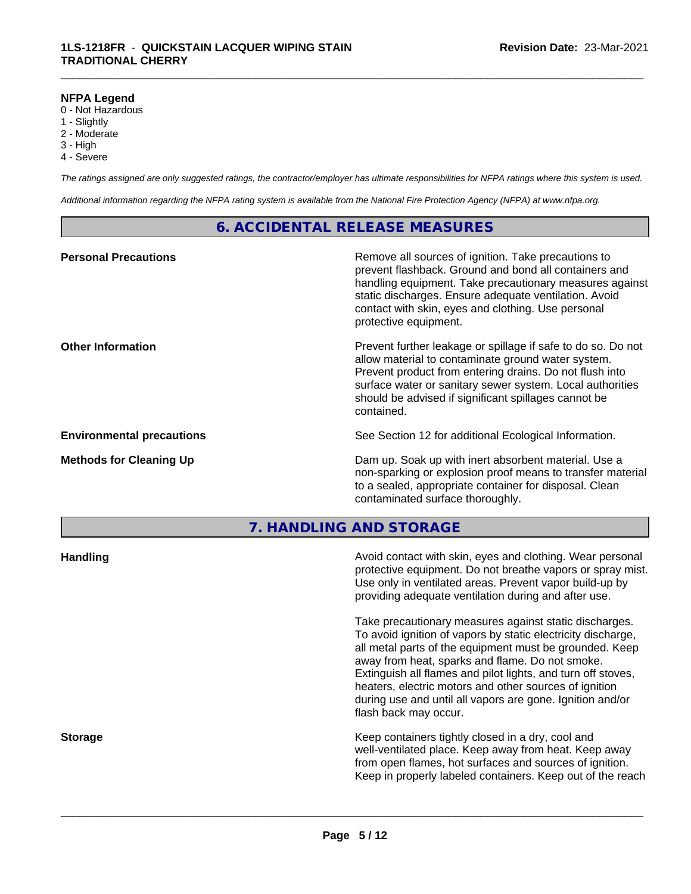#### **NFPA Legend**

- 0 Not Hazardous
- 1 Slightly
- 2 Moderate
- 3 High
- 4 Severe

*The ratings assigned are only suggested ratings, the contractor/employer has ultimate responsibilities for NFPA ratings where this system is used.*

\_\_\_\_\_\_\_\_\_\_\_\_\_\_\_\_\_\_\_\_\_\_\_\_\_\_\_\_\_\_\_\_\_\_\_\_\_\_\_\_\_\_\_\_\_\_\_\_\_\_\_\_\_\_\_\_\_\_\_\_\_\_\_\_\_\_\_\_\_\_\_\_\_\_\_\_\_\_\_\_\_\_\_\_\_\_\_\_\_\_\_\_\_

*Additional information regarding the NFPA rating system is available from the National Fire Protection Agency (NFPA) at www.nfpa.org.*

#### **6. ACCIDENTAL RELEASE MEASURES**

| <b>Personal Precautions</b>      | Remove all sources of ignition. Take precautions to<br>prevent flashback. Ground and bond all containers and<br>handling equipment. Take precautionary measures against<br>static discharges. Ensure adequate ventilation. Avoid<br>contact with skin, eyes and clothing. Use personal<br>protective equipment.  |
|----------------------------------|------------------------------------------------------------------------------------------------------------------------------------------------------------------------------------------------------------------------------------------------------------------------------------------------------------------|
| <b>Other Information</b>         | Prevent further leakage or spillage if safe to do so. Do not<br>allow material to contaminate ground water system.<br>Prevent product from entering drains. Do not flush into<br>surface water or sanitary sewer system. Local authorities<br>should be advised if significant spillages cannot be<br>contained. |
| <b>Environmental precautions</b> | See Section 12 for additional Ecological Information.                                                                                                                                                                                                                                                            |
| <b>Methods for Cleaning Up</b>   | Dam up. Soak up with inert absorbent material. Use a<br>non-sparking or explosion proof means to transfer material<br>to a sealed, appropriate container for disposal. Clean<br>contaminated surface thoroughly.                                                                                                 |

**7. HANDLING AND STORAGE**

| <b>Handling</b> | Avoid contact with skin, eyes and clothing. Wear personal<br>protective equipment. Do not breathe vapors or spray mist.<br>Use only in ventilated areas. Prevent vapor build-up by<br>providing adequate ventilation during and after use.                                                                                                                                                                                                           |
|-----------------|------------------------------------------------------------------------------------------------------------------------------------------------------------------------------------------------------------------------------------------------------------------------------------------------------------------------------------------------------------------------------------------------------------------------------------------------------|
|                 | Take precautionary measures against static discharges.<br>To avoid ignition of vapors by static electricity discharge,<br>all metal parts of the equipment must be grounded. Keep<br>away from heat, sparks and flame. Do not smoke.<br>Extinguish all flames and pilot lights, and turn off stoves,<br>heaters, electric motors and other sources of ignition<br>during use and until all vapors are gone. Ignition and/or<br>flash back may occur. |
| <b>Storage</b>  | Keep containers tightly closed in a dry, cool and<br>well-ventilated place. Keep away from heat. Keep away<br>from open flames, hot surfaces and sources of ignition.<br>Keep in properly labeled containers. Keep out of the reach                                                                                                                                                                                                                  |
|                 |                                                                                                                                                                                                                                                                                                                                                                                                                                                      |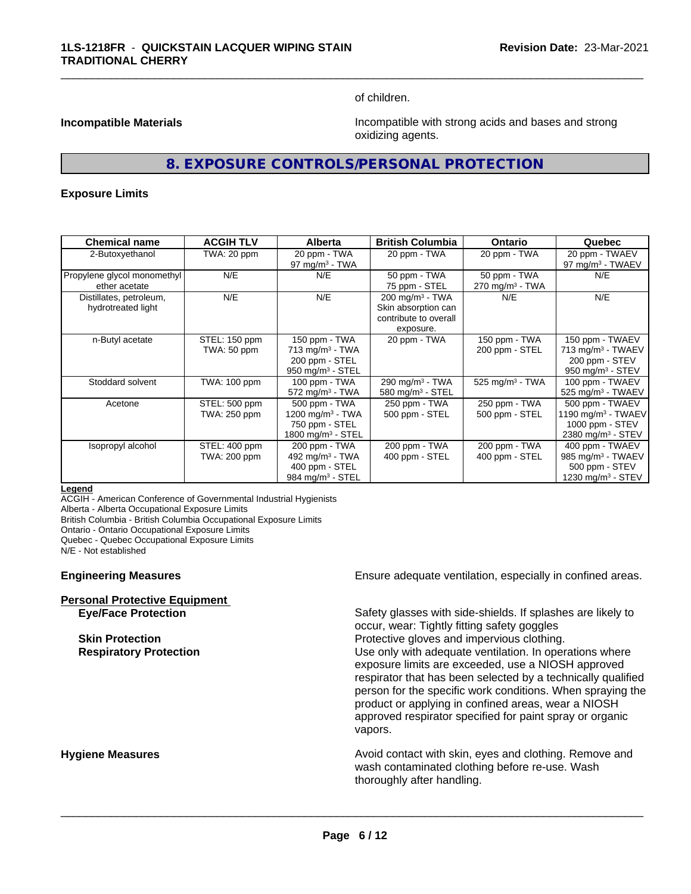of children.

\_\_\_\_\_\_\_\_\_\_\_\_\_\_\_\_\_\_\_\_\_\_\_\_\_\_\_\_\_\_\_\_\_\_\_\_\_\_\_\_\_\_\_\_\_\_\_\_\_\_\_\_\_\_\_\_\_\_\_\_\_\_\_\_\_\_\_\_\_\_\_\_\_\_\_\_\_\_\_\_\_\_\_\_\_\_\_\_\_\_\_\_\_

**Incompatible Materials Incompatible with strong acids and bases and strong** oxidizing agents.

#### **8. EXPOSURE CONTROLS/PERSONAL PROTECTION**

#### **Exposure Limits**

| <b>Chemical name</b>                          | <b>ACGIH TLV</b>              | <b>Alberta</b>                                                                                 | <b>British Columbia</b>                                                                 | <b>Ontario</b>                              | Quebec                                                                                                  |
|-----------------------------------------------|-------------------------------|------------------------------------------------------------------------------------------------|-----------------------------------------------------------------------------------------|---------------------------------------------|---------------------------------------------------------------------------------------------------------|
| 2-Butoxyethanol                               | TWA: 20 ppm                   | 20 ppm - TWA<br>97 mg/m $3$ - TWA                                                              | 20 ppm - TWA                                                                            | 20 ppm - TWA                                | 20 ppm - TWAEV<br>97 mg/m <sup>3</sup> - TWAEV                                                          |
| Propylene glycol monomethyl<br>ether acetate  | N/E                           | N/E                                                                                            | 50 ppm - TWA<br>75 ppm - STEL                                                           | 50 ppm - TWA<br>270 mg/m <sup>3</sup> - TWA | N/E                                                                                                     |
| Distillates, petroleum,<br>hydrotreated light | N/E                           | N/E                                                                                            | $200 \text{ mg/m}^3$ - TWA<br>Skin absorption can<br>contribute to overall<br>exposure. | N/E                                         | N/E                                                                                                     |
| n-Butyl acetate                               | STEL: 150 ppm<br>TWA: 50 ppm  | 150 ppm - TWA<br>$713$ mg/m <sup>3</sup> - TWA<br>200 ppm - STEL<br>950 mg/m $3 -$ STEL        | 20 ppm - TWA                                                                            | 150 ppm - TWA<br>200 ppm - STEL             | 150 ppm - TWAEV<br>713 mg/m <sup>3</sup> - TWAEV<br>200 ppm - STEV<br>950 mg/m $3 -$ STEV               |
| Stoddard solvent                              | TWA: 100 ppm                  | 100 ppm - TWA<br>$572$ mg/m <sup>3</sup> - TWA                                                 | 290 mg/m <sup>3</sup> - TWA<br>580 mg/m $3 -$ STEL                                      | 525 mg/m $3$ - TWA                          | 100 ppm - TWAEV<br>525 mg/m <sup>3</sup> - TWAEV                                                        |
| Acetone                                       | STEL: 500 ppm<br>TWA: 250 ppm | 500 ppm - TWA<br>1200 mg/m $3$ - TWA<br>750 ppm - STEL<br>1800 mg/m <sup>3</sup> - STEL        | 250 ppm - TWA<br>500 ppm - STEL                                                         | 250 ppm - TWA<br>500 ppm - STEL             | 500 ppm - TWAEV<br>1190 mg/m <sup>3</sup> - TWAEV<br>1000 ppm - $STEV$<br>2380 mg/m <sup>3</sup> - STEV |
| Isopropyl alcohol                             | STEL: 400 ppm<br>TWA: 200 ppm | 200 ppm - TWA<br>492 mg/m <sup>3</sup> - TWA<br>400 ppm - STEL<br>984 mg/m <sup>3</sup> - STEL | 200 ppm - TWA<br>400 ppm - STEL                                                         | 200 ppm - TWA<br>400 ppm - STEL             | 400 ppm - TWAEV<br>985 mg/m <sup>3</sup> - TWAEV<br>500 ppm - STEV<br>1230 mg/m <sup>3</sup> - STEV     |

#### **Legend**

ACGIH - American Conference of Governmental Industrial Hygienists Alberta - Alberta Occupational Exposure Limits

British Columbia - British Columbia Occupational Exposure Limits

Ontario - Ontario Occupational Exposure Limits

Quebec - Quebec Occupational Exposure Limits

N/E - Not established

#### **Engineering Measures Ensure adequate ventilation, especially in confined areas.**

| <b>Personal Protective Equipment</b> |  |
|--------------------------------------|--|
| <b>Eve/Face Protection</b>           |  |

Safety glasses with side-shields. If splashes are likely to occur, wear: Tightly fitting safety goggles **Skin Protection Protection Protective gloves and impervious clothing. Respiratory Protection Exercise 2018** Use only with adequate ventilation. In operations where exposure limits are exceeded, use a NIOSH approved respirator that has been selected by a technically qualified person for the specific work conditions. When spraying the product or applying in confined areas, wear a NIOSH approved respirator specified for paint spray or organic vapors.

**Hygiene Measures Avoid contact with skin, eyes and clothing. Remove and Avoid contact with skin, eyes and clothing. Remove and Avoid contact with skin, eyes and clothing. Remove and** wash contaminated clothing before re-use. Wash thoroughly after handling.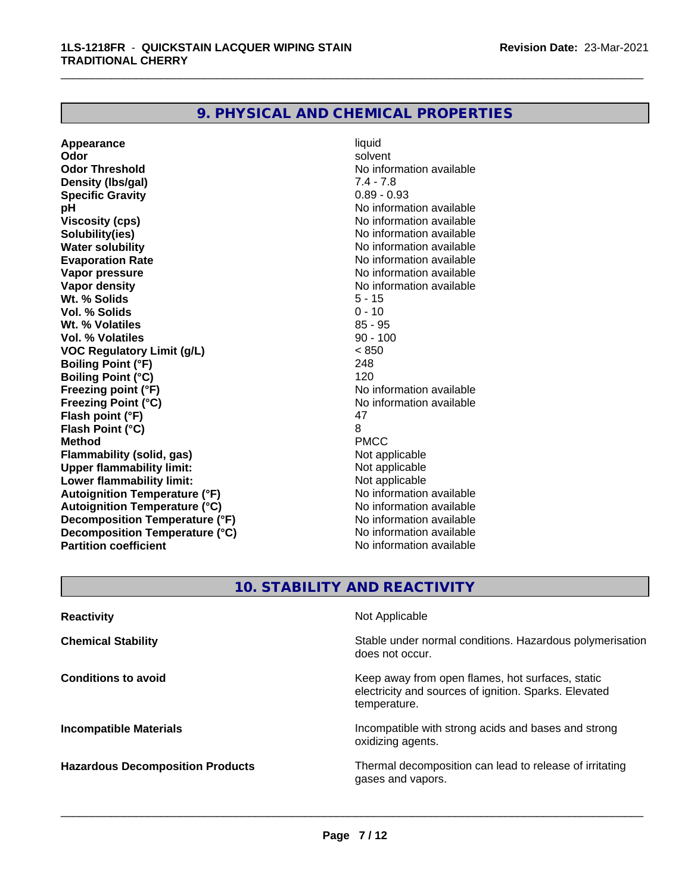#### **9. PHYSICAL AND CHEMICAL PROPERTIES**

**Appearance** liquid and **a liquid liquid liquid** by the liquid liquid solvent **Odor** solvent **Odor Threshold** No information available **Density (lbs/gal)** 7.4 - 7.8<br> **Specific Gravity** 6.89 - 0.93 **Specific Gravity pH** No information available **Viscosity (cps)** No information available **Solubility(ies)** No information available **Water solubility**<br> **Evaporation Rate**<br> **Evaporation Rate**<br> **Evaporation Rate Evaporation Rate** No information available<br> **Vapor pressure** No information available<br>
No information available **Vapor density**<br> **We Solids**<br>
We Solids **We Note that the Solid S** and S - 15 **Wt. % Solids** 5 - 15<br> **Vol. % Solids** 6 - 10 **Vol. % Solids Wt. % Volatiles** 85 - 95 **Vol. % Volatiles VOC Regulatory Limit (g/L)** < 850 **Boiling Point (°F)** 248 **Boiling Point (°C)** 120 **Freezing point (°F)** The state of the state of the Noinformation available **Freezing Point (°C)**<br> **Flash noint (°F)**<br> **Flash noint (°F)**<br> **A7 Flash point (°F)** 47<br> **Flash Point (°C)** 8 **Flash Point (°C)** 8 **Method** PMCC **Flammability (solid, gas)**<br> **Consumption Upper flammability limit:**<br>
Upper flammability limit:<br>
Not applicable **Upper flammability limit:**<br> **Lower flammability limit:** Not applicable Not applicable **Lower flammability limit:**<br> **Autoignition Temperature (°F)** Not applicable havailable **Autoignition Temperature (°F) Autoignition Temperature (°C)** No information available **Decomposition Temperature (°F)**<br> **Decomposition Temperature (°C)** Moinformation available **Decomposition Temperature (°C) Partition coefficient** No information available

**No information available** 

\_\_\_\_\_\_\_\_\_\_\_\_\_\_\_\_\_\_\_\_\_\_\_\_\_\_\_\_\_\_\_\_\_\_\_\_\_\_\_\_\_\_\_\_\_\_\_\_\_\_\_\_\_\_\_\_\_\_\_\_\_\_\_\_\_\_\_\_\_\_\_\_\_\_\_\_\_\_\_\_\_\_\_\_\_\_\_\_\_\_\_\_\_

### **10. STABILITY AND REACTIVITY**

| <b>Reactivity</b>                       | Not Applicable                                                                                                            |
|-----------------------------------------|---------------------------------------------------------------------------------------------------------------------------|
| <b>Chemical Stability</b>               | Stable under normal conditions. Hazardous polymerisation<br>does not occur.                                               |
| <b>Conditions to avoid</b>              | Keep away from open flames, hot surfaces, static<br>electricity and sources of ignition. Sparks. Elevated<br>temperature. |
| <b>Incompatible Materials</b>           | Incompatible with strong acids and bases and strong<br>oxidizing agents.                                                  |
| <b>Hazardous Decomposition Products</b> | Thermal decomposition can lead to release of irritating<br>gases and vapors.                                              |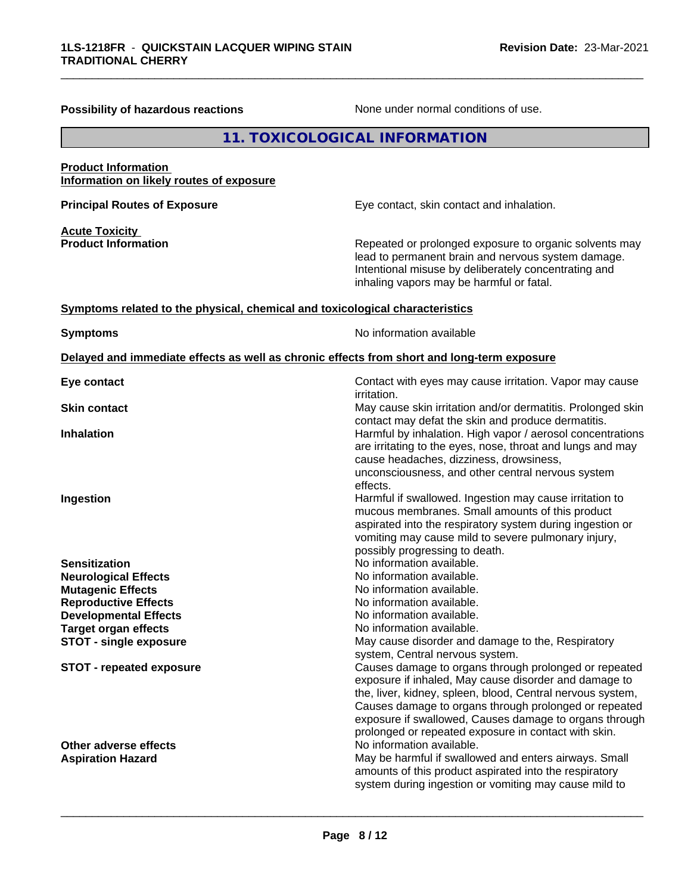| Possibility of hazardous reactions                                           | None under normal conditions of use.                                                                                                                                                                                                                                                                                                                                                       |
|------------------------------------------------------------------------------|--------------------------------------------------------------------------------------------------------------------------------------------------------------------------------------------------------------------------------------------------------------------------------------------------------------------------------------------------------------------------------------------|
|                                                                              | 11. TOXICOLOGICAL INFORMATION                                                                                                                                                                                                                                                                                                                                                              |
| <b>Product Information</b><br>Information on likely routes of exposure       |                                                                                                                                                                                                                                                                                                                                                                                            |
| <b>Principal Routes of Exposure</b>                                          | Eye contact, skin contact and inhalation.                                                                                                                                                                                                                                                                                                                                                  |
| <b>Acute Toxicity</b><br><b>Product Information</b>                          | Repeated or prolonged exposure to organic solvents may<br>lead to permanent brain and nervous system damage.<br>Intentional misuse by deliberately concentrating and<br>inhaling vapors may be harmful or fatal.                                                                                                                                                                           |
| Symptoms related to the physical, chemical and toxicological characteristics |                                                                                                                                                                                                                                                                                                                                                                                            |
| <b>Symptoms</b>                                                              | No information available                                                                                                                                                                                                                                                                                                                                                                   |
|                                                                              | Delayed and immediate effects as well as chronic effects from short and long-term exposure                                                                                                                                                                                                                                                                                                 |
| Eye contact                                                                  | Contact with eyes may cause irritation. Vapor may cause<br>irritation.                                                                                                                                                                                                                                                                                                                     |
| <b>Skin contact</b>                                                          | May cause skin irritation and/or dermatitis. Prolonged skin<br>contact may defat the skin and produce dermatitis.                                                                                                                                                                                                                                                                          |
| <b>Inhalation</b>                                                            | Harmful by inhalation. High vapor / aerosol concentrations<br>are irritating to the eyes, nose, throat and lungs and may<br>cause headaches, dizziness, drowsiness,<br>unconsciousness, and other central nervous system<br>effects.                                                                                                                                                       |
| Ingestion                                                                    | Harmful if swallowed. Ingestion may cause irritation to<br>mucous membranes. Small amounts of this product<br>aspirated into the respiratory system during ingestion or<br>vomiting may cause mild to severe pulmonary injury,<br>possibly progressing to death.                                                                                                                           |
| <b>Sensitization</b>                                                         | No information available.                                                                                                                                                                                                                                                                                                                                                                  |
| <b>Neurological Effects</b>                                                  | No information available.                                                                                                                                                                                                                                                                                                                                                                  |
| <b>Mutagenic Effects</b>                                                     | No information available.                                                                                                                                                                                                                                                                                                                                                                  |
| <b>Reproductive Effects</b>                                                  | No information available.                                                                                                                                                                                                                                                                                                                                                                  |
| <b>Developmental Effects</b>                                                 | No information available.                                                                                                                                                                                                                                                                                                                                                                  |
| <b>Target organ effects</b><br><b>STOT - single exposure</b>                 | No information available.<br>May cause disorder and damage to the, Respiratory                                                                                                                                                                                                                                                                                                             |
| <b>STOT - repeated exposure</b>                                              | system, Central nervous system.<br>Causes damage to organs through prolonged or repeated<br>exposure if inhaled, May cause disorder and damage to<br>the, liver, kidney, spleen, blood, Central nervous system,<br>Causes damage to organs through prolonged or repeated<br>exposure if swallowed, Causes damage to organs through<br>prolonged or repeated exposure in contact with skin. |
| Other adverse effects<br><b>Aspiration Hazard</b>                            | No information available.<br>May be harmful if swallowed and enters airways. Small<br>amounts of this product aspirated into the respiratory<br>system during ingestion or vomiting may cause mild to                                                                                                                                                                                      |

\_\_\_\_\_\_\_\_\_\_\_\_\_\_\_\_\_\_\_\_\_\_\_\_\_\_\_\_\_\_\_\_\_\_\_\_\_\_\_\_\_\_\_\_\_\_\_\_\_\_\_\_\_\_\_\_\_\_\_\_\_\_\_\_\_\_\_\_\_\_\_\_\_\_\_\_\_\_\_\_\_\_\_\_\_\_\_\_\_\_\_\_\_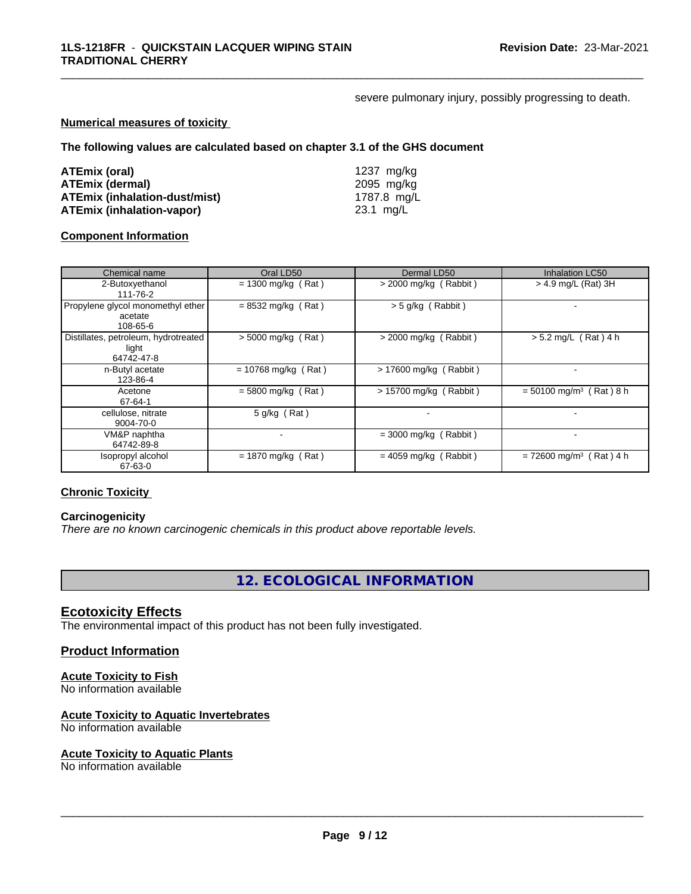severe pulmonary injury, possibly progressing to death.

\_\_\_\_\_\_\_\_\_\_\_\_\_\_\_\_\_\_\_\_\_\_\_\_\_\_\_\_\_\_\_\_\_\_\_\_\_\_\_\_\_\_\_\_\_\_\_\_\_\_\_\_\_\_\_\_\_\_\_\_\_\_\_\_\_\_\_\_\_\_\_\_\_\_\_\_\_\_\_\_\_\_\_\_\_\_\_\_\_\_\_\_\_

#### **Numerical measures of toxicity**

**The following values are calculated based on chapter 3.1 of the GHS document**

| ATEmix (oral)                        | 1237 ma/ka  |
|--------------------------------------|-------------|
| <b>ATEmix (dermal)</b>               | 2095 mg/ka  |
| <b>ATEmix (inhalation-dust/mist)</b> | 1787.8 mg/L |
| <b>ATEmix (inhalation-vapor)</b>     | 23.1 mg/L   |

#### **Component Information**

| Chemical name                                               | Oral LD50             | Dermal LD50             | <b>Inhalation LC50</b>                |
|-------------------------------------------------------------|-----------------------|-------------------------|---------------------------------------|
| 2-Butoxyethanol<br>111-76-2                                 | $= 1300$ mg/kg (Rat)  | $>$ 2000 mg/kg (Rabbit) | > 4.9 mg/L (Rat) 3H                   |
| Propylene glycol monomethyl ether<br>acetate<br>108-65-6    | $= 8532$ mg/kg (Rat)  | $>$ 5 g/kg (Rabbit)     |                                       |
| Distillates, petroleum, hydrotreated<br>light<br>64742-47-8 | $> 5000$ mg/kg (Rat)  | $>$ 2000 mg/kg (Rabbit) | $> 5.2$ mg/L (Rat) 4 h                |
| n-Butyl acetate<br>123-86-4                                 | $= 10768$ mg/kg (Rat) | > 17600 mg/kg (Rabbit)  |                                       |
| Acetone<br>67-64-1                                          | $=$ 5800 mg/kg (Rat)  | > 15700 mg/kg (Rabbit)  | $= 50100$ mg/m <sup>3</sup> (Rat) 8 h |
| cellulose, nitrate<br>9004-70-0                             | $5$ g/kg (Rat)        |                         |                                       |
| VM&P naphtha<br>64742-89-8                                  |                       | $=$ 3000 mg/kg (Rabbit) |                                       |
| Isopropyl alcohol<br>67-63-0                                | $= 1870$ mg/kg (Rat)  | $= 4059$ mg/kg (Rabbit) | $= 72600$ mg/m <sup>3</sup> (Rat) 4 h |

#### **Chronic Toxicity**

#### **Carcinogenicity**

*There are no known carcinogenic chemicals in this product above reportable levels.*

**12. ECOLOGICAL INFORMATION**

#### **Ecotoxicity Effects**

The environmental impact of this product has not been fully investigated.

#### **Product Information**

#### **Acute Toxicity to Fish**

No information available

#### **Acute Toxicity to Aquatic Invertebrates**

No information available

#### **Acute Toxicity to Aquatic Plants**

No information available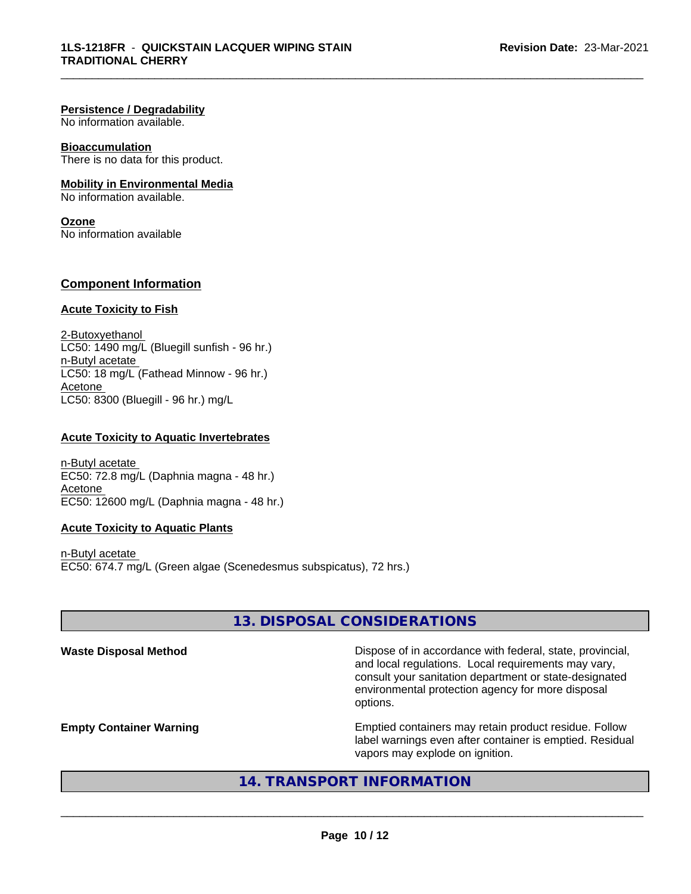#### **Persistence / Degradability**

No information available.

#### **Bioaccumulation**

There is no data for this product.

#### **Mobility in Environmental Media**

No information available.

#### **Ozone**

No information available

#### **Component Information**

#### **Acute Toxicity to Fish**

2-Butoxyethanol  $LC50: 1490$  mg/L (Bluegill sunfish - 96 hr.) n-Butyl acetate LC50: 18 mg/L (Fathead Minnow - 96 hr.) Acetone LC50: 8300 (Bluegill - 96 hr.) mg/L

#### **Acute Toxicity to Aquatic Invertebrates**

n-Butyl acetate EC50: 72.8 mg/L (Daphnia magna - 48 hr.) Acetone EC50: 12600 mg/L (Daphnia magna - 48 hr.)

#### **Acute Toxicity to Aquatic Plants**

n-Butyl acetate EC50: 674.7 mg/L (Green algae (Scenedesmus subspicatus), 72 hrs.)

#### **13. DISPOSAL CONSIDERATIONS**

\_\_\_\_\_\_\_\_\_\_\_\_\_\_\_\_\_\_\_\_\_\_\_\_\_\_\_\_\_\_\_\_\_\_\_\_\_\_\_\_\_\_\_\_\_\_\_\_\_\_\_\_\_\_\_\_\_\_\_\_\_\_\_\_\_\_\_\_\_\_\_\_\_\_\_\_\_\_\_\_\_\_\_\_\_\_\_\_\_\_\_\_\_

Waste Disposal Method **Dispose of in accordance with federal, state, provincial,** and local regulations. Local requirements may vary, consult your sanitation department or state-designated environmental protection agency for more disposal options.

**Empty Container Warning <b>Emptied** Containers may retain product residue. Follow label warnings even after container is emptied. Residual vapors may explode on ignition.

#### **14. TRANSPORT INFORMATION**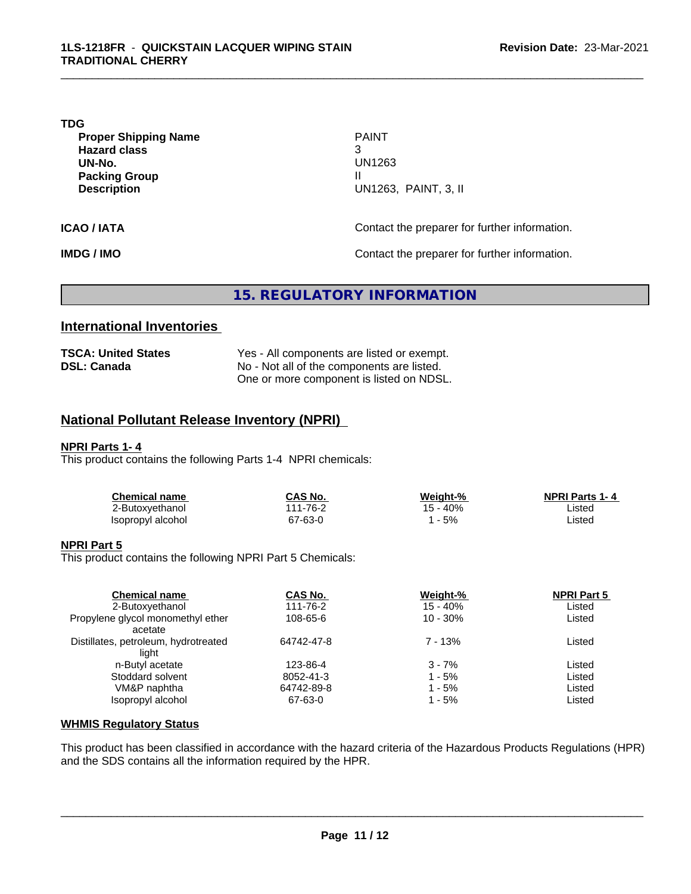#### **TDG**

**Proper Shipping Name PAINT Hazard class** 3 **UN-No.** UN1263 **Packing Group III Description** U

**Description** UN1263, PAINT, 3, II

**ICAO / IATA ICAO / IATA Contact the preparer for further information.** 

**IMDG / IMO Contact the preparer for further information.** 

#### **15. REGULATORY INFORMATION**

#### **International Inventories**

| <b>TSCA: United States</b> | Yes - All components are listed or exempt. |
|----------------------------|--------------------------------------------|
| <b>DSL: Canada</b>         | No - Not all of the components are listed. |
|                            | One or more component is listed on NDSL.   |

#### **National Pollutant Release Inventory (NPRI)**

#### **NPRI Parts 1- 4**

This product contains the following Parts 1-4 NPRI chemicals:

| Chemical name     | CAS No.             | Weight-% | <b>NPRI Parts 1-4</b> |  |
|-------------------|---------------------|----------|-----------------------|--|
| ∠-Butoxyethanol   | $1 - 76 - 2$<br>144 | - 40%    | Listec                |  |
| Isopropyl alcohol | 67-63-0             | - 5%     | Listed                |  |

#### **NPRI Part 5**

This product contains the following NPRI Part 5 Chemicals:

| <b>Chemical name</b><br>2-Butoxyethanol       | CAS No.<br>111-76-2 | Weight-%<br>$15 - 40%$ | <b>NPRI Part 5</b><br>Listed |  |
|-----------------------------------------------|---------------------|------------------------|------------------------------|--|
| Propylene glycol monomethyl ether<br>acetate  | 108-65-6            | $10 - 30\%$            | Listed                       |  |
| Distillates, petroleum, hydrotreated<br>liaht | 64742-47-8          | 7 - 13%                | Listed                       |  |
| n-Butyl acetate                               | 123-86-4            | $3 - 7%$               | Listed                       |  |
| Stoddard solvent                              | 8052-41-3           | $1 - 5%$               | Listed                       |  |
| VM&P naphtha                                  | 64742-89-8          | 1 - 5%                 | Listed                       |  |
| Isopropyl alcohol                             | 67-63-0             | 1 - 5%                 | Listed                       |  |

#### **WHMIS Regulatory Status**

This product has been classified in accordance with the hazard criteria of the Hazardous Products Regulations (HPR) and the SDS contains all the information required by the HPR.